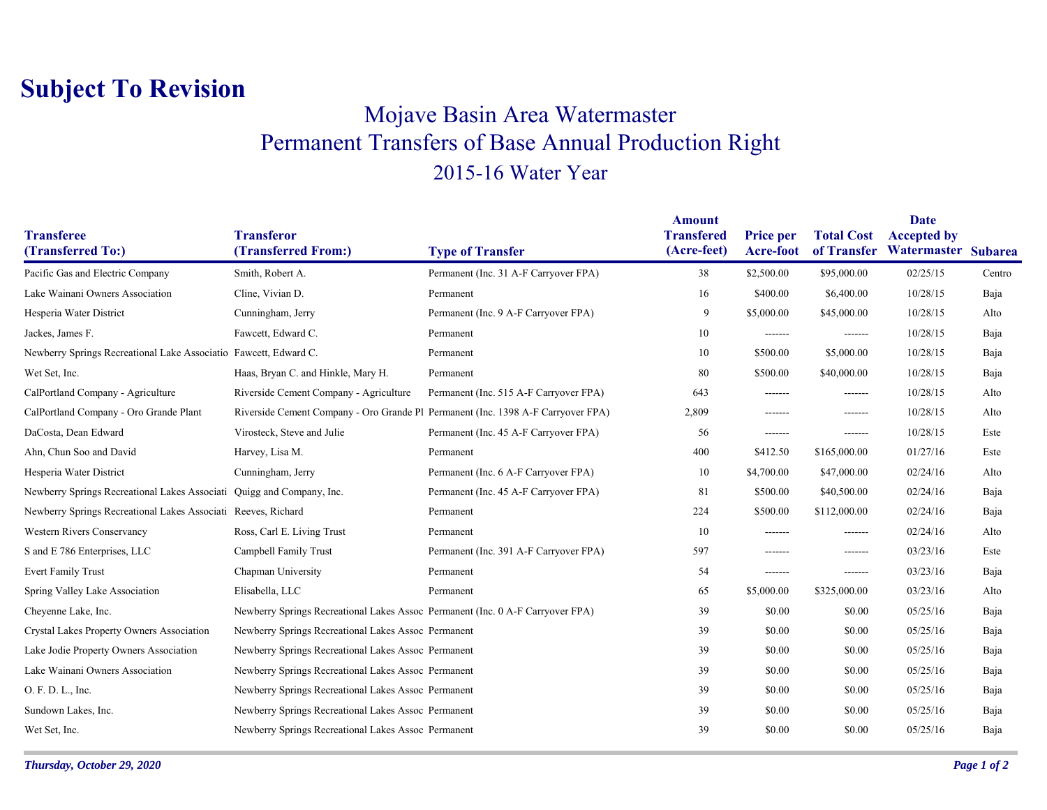## **Subject To Revision**

## Mojave Basin Area Watermaster Permanent Transfers of Base Annual Production Right 2015-16 Water Year

|                                                                       |                                                                                  |                                        | <b>Amount</b>                    |                                      |                   | Date                                                  |        |
|-----------------------------------------------------------------------|----------------------------------------------------------------------------------|----------------------------------------|----------------------------------|--------------------------------------|-------------------|-------------------------------------------------------|--------|
| <b>Transferee</b><br>(Transferred To:)                                | <b>Transferor</b><br>(Transferred From:)                                         | <b>Type of Transfer</b>                | <b>Transfered</b><br>(Acre-feet) | <b>Price per</b><br><b>Acre-foot</b> | <b>Total Cost</b> | <b>Accepted by</b><br>of Transfer Watermaster Subarea |        |
| Pacific Gas and Electric Company                                      | Smith, Robert A.                                                                 | Permanent (Inc. 31 A-F Carryover FPA)  | 38                               | \$2,500.00                           | \$95,000.00       | 02/25/15                                              | Centro |
| Lake Wainani Owners Association                                       | Cline, Vivian D.                                                                 | Permanent                              | 16                               | \$400.00                             | \$6,400.00        | 10/28/15                                              | Baja   |
| Hesperia Water District                                               | Cunningham, Jerry                                                                | Permanent (Inc. 9 A-F Carryover FPA)   | 9                                | \$5,000.00                           | \$45,000.00       | 10/28/15                                              | Alto   |
| Jackes, James F.                                                      | Fawcett, Edward C.                                                               | Permanent                              | 10                               | -------                              | -------           | 10/28/15                                              | Baja   |
| Newberry Springs Recreational Lake Associatio Fawcett, Edward C.      |                                                                                  | Permanent                              | 10                               | \$500.00                             | \$5,000.00        | 10/28/15                                              | Baja   |
| Wet Set, Inc.                                                         | Haas, Bryan C. and Hinkle, Mary H.                                               | Permanent                              | 80                               | \$500.00                             | \$40,000.00       | 10/28/15                                              | Baja   |
| CalPortland Company - Agriculture                                     | Riverside Cement Company - Agriculture                                           | Permanent (Inc. 515 A-F Carryover FPA) | 643                              | -------                              | -------           | 10/28/15                                              | Alto   |
| CalPortland Company - Oro Grande Plant                                | Riverside Cement Company - Oro Grande Pl Permanent (Inc. 1398 A-F Carryover FPA) |                                        | 2,809                            | -------                              | -------           | 10/28/15                                              | Alto   |
| DaCosta, Dean Edward                                                  | Virosteck, Steve and Julie                                                       | Permanent (Inc. 45 A-F Carryover FPA)  | 56                               | -------                              | -------           | 10/28/15                                              | Este   |
| Ahn, Chun Soo and David                                               | Harvey, Lisa M.                                                                  | Permanent                              | 400                              | \$412.50                             | \$165,000.00      | 01/27/16                                              | Este   |
| Hesperia Water District                                               | Cunningham, Jerry                                                                | Permanent (Inc. 6 A-F Carryover FPA)   | 10                               | \$4,700.00                           | \$47,000.00       | 02/24/16                                              | Alto   |
| Newberry Springs Recreational Lakes Associati Quigg and Company, Inc. |                                                                                  | Permanent (Inc. 45 A-F Carryover FPA)  | 81                               | \$500.00                             | \$40,500.00       | 02/24/16                                              | Baja   |
| Newberry Springs Recreational Lakes Associati Reeves, Richard         |                                                                                  | Permanent                              | 224                              | \$500.00                             | \$112,000.00      | 02/24/16                                              | Baja   |
| <b>Western Rivers Conservancy</b>                                     | Ross, Carl E. Living Trust                                                       | Permanent                              | 10                               | -------                              | -------           | 02/24/16                                              | Alto   |
| S and E 786 Enterprises, LLC                                          | Campbell Family Trust                                                            | Permanent (Inc. 391 A-F Carryover FPA) | 597                              | -------                              | -------           | 03/23/16                                              | Este   |
| <b>Evert Family Trust</b>                                             | Chapman University                                                               | Permanent                              | 54                               | -------                              | -------           | 03/23/16                                              | Baja   |
| Spring Valley Lake Association                                        | Elisabella, LLC                                                                  | Permanent                              | 65                               | \$5,000.00                           | \$325,000.00      | 03/23/16                                              | Alto   |
| Cheyenne Lake, Inc.                                                   | Newberry Springs Recreational Lakes Assoc Permanent (Inc. 0 A-F Carryover FPA)   |                                        | 39                               | \$0.00                               | \$0.00            | 05/25/16                                              | Baja   |
| Crystal Lakes Property Owners Association                             | Newberry Springs Recreational Lakes Assoc Permanent                              |                                        | 39                               | \$0.00                               | \$0.00            | 05/25/16                                              | Baja   |
| Lake Jodie Property Owners Association                                | Newberry Springs Recreational Lakes Assoc Permanent                              |                                        | 39                               | \$0.00                               | \$0.00            | 05/25/16                                              | Baja   |
| Lake Wainani Owners Association                                       | Newberry Springs Recreational Lakes Assoc Permanent                              |                                        | 39                               | \$0.00                               | \$0.00            | 05/25/16                                              | Baja   |
| O. F. D. L., Inc.                                                     | Newberry Springs Recreational Lakes Assoc Permanent                              |                                        | 39                               | \$0.00                               | \$0.00            | 05/25/16                                              | Baja   |
| Sundown Lakes, Inc.                                                   | Newberry Springs Recreational Lakes Assoc Permanent                              |                                        | 39                               | \$0.00                               | \$0.00            | 05/25/16                                              | Baja   |
| Wet Set, Inc.                                                         | Newberry Springs Recreational Lakes Assoc Permanent                              |                                        | 39                               | \$0.00                               | \$0.00            | 05/25/16                                              | Baja   |